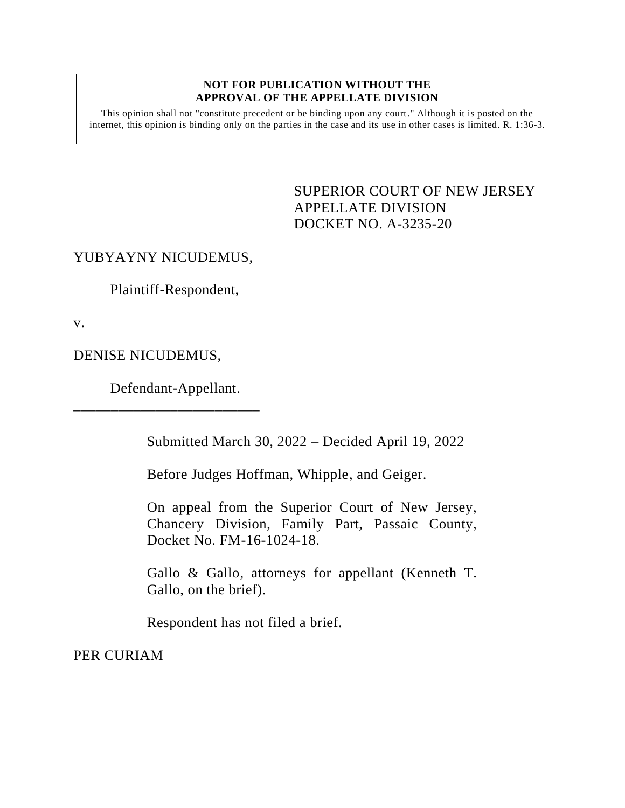## **NOT FOR PUBLICATION WITHOUT THE APPROVAL OF THE APPELLATE DIVISION**

This opinion shall not "constitute precedent or be binding upon any court." Although it is posted on the internet, this opinion is binding only on the parties in the case and its use in other cases is limited. R. 1:36-3.

> <span id="page-0-0"></span>SUPERIOR COURT OF NEW JERSEY APPELLATE DIVISION DOCKET NO. A-3235-20

## YUBYAYNY NICUDEMUS,

Plaintiff-Respondent,

v.

DENISE NICUDEMUS,

Defendant-Appellant.

\_\_\_\_\_\_\_\_\_\_\_\_\_\_\_\_\_\_\_\_\_\_\_\_\_

Submitted March 30, 2022 – Decided April 19, 2022

Before Judges Hoffman, Whipple, and Geiger.

On appeal from the Superior Court of New Jersey, Chancery Division, Family Part, Passaic County, Docket No. FM-16-1024-18.

Gallo & Gallo, attorneys for appellant (Kenneth T. Gallo, on the brief).

Respondent has not filed a brief.

PER CURIAM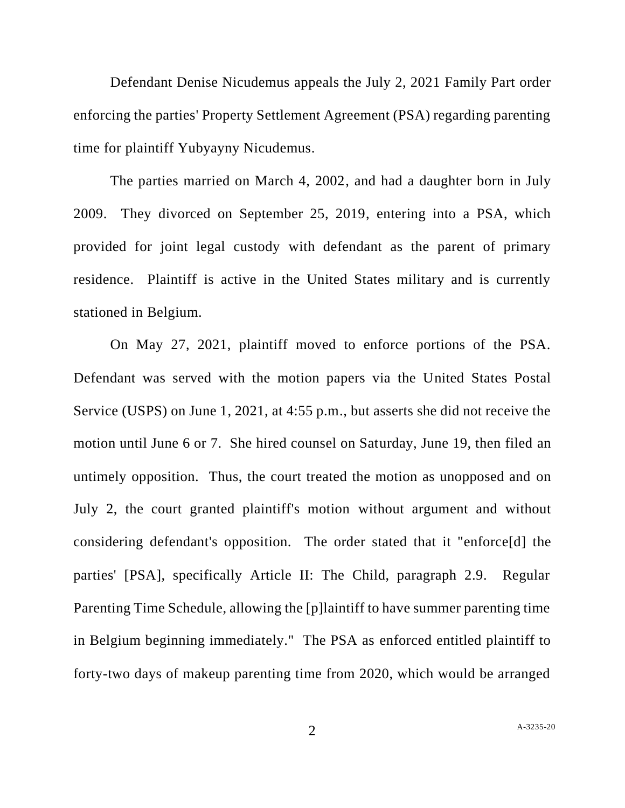Defendant Denise Nicudemus appeals the July 2, 2021 Family Part order enforcing the parties' Property Settlement Agreement (PSA) regarding parenting time for plaintiff Yubyayny Nicudemus.

The parties married on March 4, 2002, and had a daughter born in July 2009. They divorced on September 25, 2019, entering into a PSA, which provided for joint legal custody with defendant as the parent of primary residence. Plaintiff is active in the United States military and is currently stationed in Belgium.

On May 27, 2021, plaintiff moved to enforce portions of the PSA. Defendant was served with the motion papers via the United States Postal Service (USPS) on June 1, 2021, at 4:55 p.m., but asserts she did not receive the motion until June 6 or 7. She hired counsel on Saturday, June 19, then filed an untimely opposition. Thus, the court treated the motion as unopposed and on July 2, the court granted plaintiff's motion without argument and without considering defendant's opposition. The order stated that it "enforce[d] the parties' [PSA], specifically Article II: The Child, paragraph 2.9. Regular Parenting Time Schedule, allowing the [p]laintiff to have summer parenting time in Belgium beginning immediately." The PSA as enforced entitled plaintiff to forty-two days of makeup parenting time from 2020, which would be arranged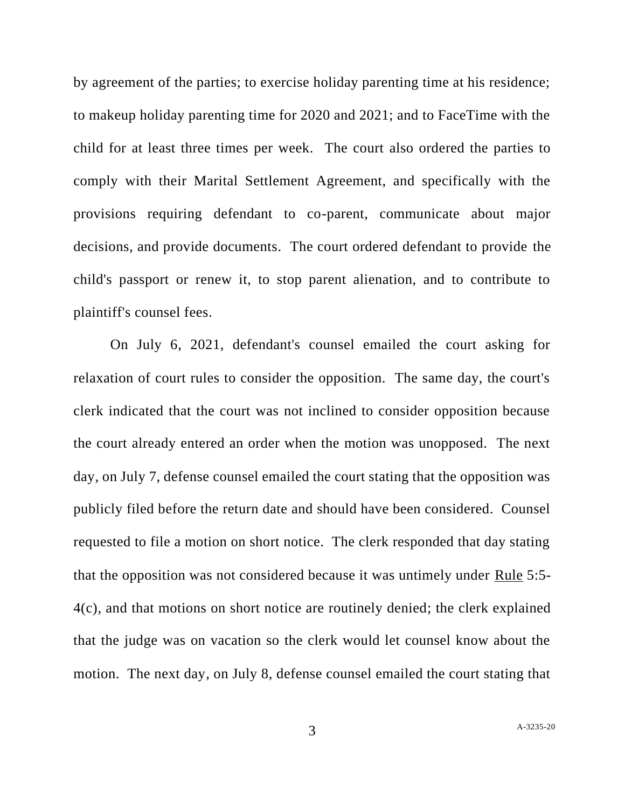by agreement of the parties; to exercise holiday parenting time at his residence; to makeup holiday parenting time for 2020 and 2021; and to FaceTime with the child for at least three times per week. The court also ordered the parties to comply with their Marital Settlement Agreement, and specifically with the provisions requiring defendant to co-parent, communicate about major decisions, and provide documents. The court ordered defendant to provide the child's passport or renew it, to stop parent alienation, and to contribute to plaintiff's counsel fees.

On July 6, 2021, defendant's counsel emailed the court asking for relaxation of court rules to consider the opposition. The same day, the court's clerk indicated that the court was not inclined to consider opposition because the court already entered an order when the motion was unopposed. The next day, on July 7, defense counsel emailed the court stating that the opposition was publicly filed before the return date and should have been considered. Counsel requested to file a motion on short notice. The clerk responded that day stating that the opposition was not considered because it was untimely under Rule 5:5- 4(c), and that motions on short notice are routinely denied; the clerk explained that the judge was on vacation so the clerk would let counsel know about the motion. The next day, on July 8, defense counsel emailed the court stating that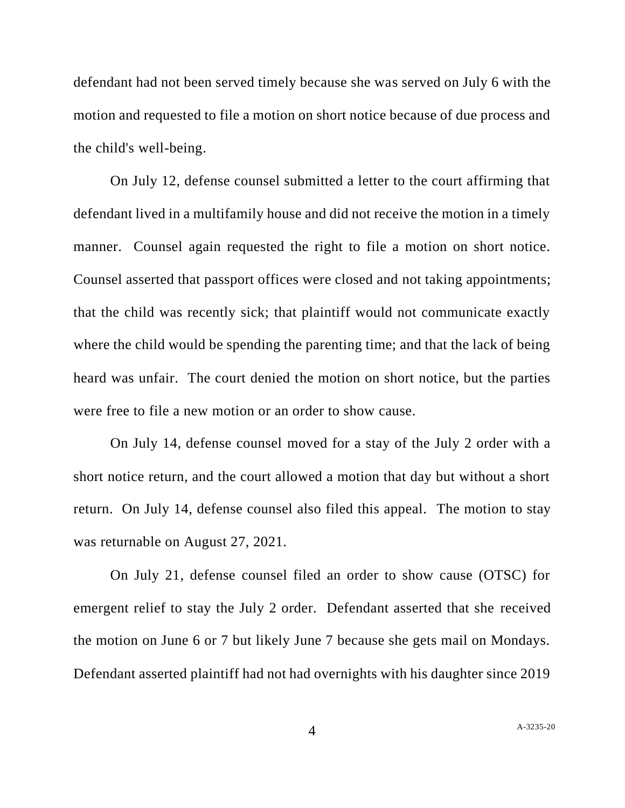defendant had not been served timely because she was served on July 6 with the motion and requested to file a motion on short notice because of due process and the child's well-being.

On July 12, defense counsel submitted a letter to the court affirming that defendant lived in a multifamily house and did not receive the motion in a timely manner. Counsel again requested the right to file a motion on short notice. Counsel asserted that passport offices were closed and not taking appointments; that the child was recently sick; that plaintiff would not communicate exactly where the child would be spending the parenting time; and that the lack of being heard was unfair. The court denied the motion on short notice, but the parties were free to file a new motion or an order to show cause.

On July 14, defense counsel moved for a stay of the July 2 order with a short notice return, and the court allowed a motion that day but without a short return. On July 14, defense counsel also filed this appeal. The motion to stay was returnable on August 27, 2021.

On July 21, defense counsel filed an order to show cause (OTSC) for emergent relief to stay the July 2 order. Defendant asserted that she received the motion on June 6 or 7 but likely June 7 because she gets mail on Mondays. Defendant asserted plaintiff had not had overnights with his daughter since 2019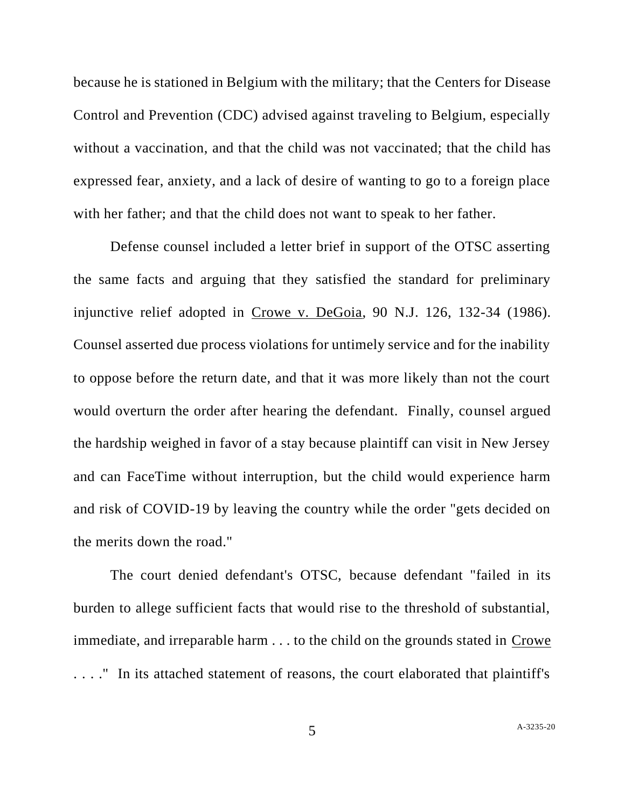because he is stationed in Belgium with the military; that the Centers for Disease Control and Prevention (CDC) advised against traveling to Belgium, especially without a vaccination, and that the child was not vaccinated; that the child has expressed fear, anxiety, and a lack of desire of wanting to go to a foreign place with her father; and that the child does not want to speak to her father.

Defense counsel included a letter brief in support of the OTSC asserting the same facts and arguing that they satisfied the standard for preliminary injunctive relief adopted in Crowe v. DeGoia, 90 N.J. 126, 132-34 (1986). Counsel asserted due process violations for untimely service and for the inability to oppose before the return date, and that it was more likely than not the court would overturn the order after hearing the defendant. Finally, counsel argued the hardship weighed in favor of a stay because plaintiff can visit in New Jersey and can FaceTime without interruption, but the child would experience harm and risk of COVID-19 by leaving the country while the order "gets decided on the merits down the road."

The court denied defendant's OTSC, because defendant "failed in its burden to allege sufficient facts that would rise to the threshold of substantial, immediate, and irreparable harm . . . to the child on the grounds stated in Crowe . . . ." In its attached statement of reasons, the court elaborated that plaintiff's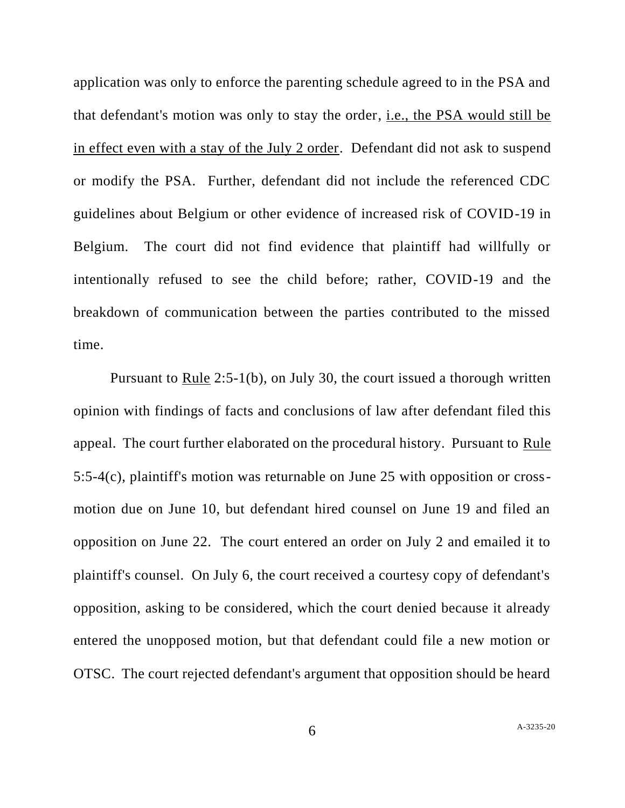application was only to enforce the parenting schedule agreed to in the PSA and that defendant's motion was only to stay the order, i.e., the PSA would still be in effect even with a stay of the July 2 order. Defendant did not ask to suspend or modify the PSA. Further, defendant did not include the referenced CDC guidelines about Belgium or other evidence of increased risk of COVID-19 in Belgium. The court did not find evidence that plaintiff had willfully or intentionally refused to see the child before; rather, COVID-19 and the breakdown of communication between the parties contributed to the missed time.

Pursuant to Rule 2:5-1(b), on July 30, the court issued a thorough written opinion with findings of facts and conclusions of law after defendant filed this appeal. The court further elaborated on the procedural history. Pursuant to Rule 5:5-4(c), plaintiff's motion was returnable on June 25 with opposition or crossmotion due on June 10, but defendant hired counsel on June 19 and filed an opposition on June 22. The court entered an order on July 2 and emailed it to plaintiff's counsel. On July 6, the court received a courtesy copy of defendant's opposition, asking to be considered, which the court denied because it already entered the unopposed motion, but that defendant could file a new motion or OTSC. The court rejected defendant's argument that opposition should be heard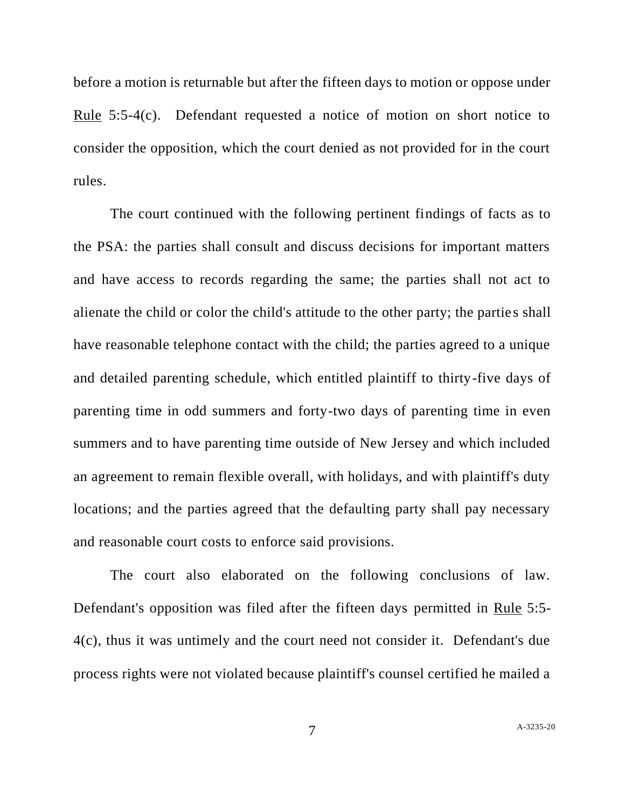before a motion is returnable but after the fifteen days to motion or oppose under Rule 5:5-4(c). Defendant requested a notice of motion on short notice to consider the opposition, which the court denied as not provided for in the court rules.

The court continued with the following pertinent findings of facts as to the PSA: the parties shall consult and discuss decisions for important matters and have access to records regarding the same; the parties shall not act to alienate the child or color the child's attitude to the other party; the parties shall have reasonable telephone contact with the child; the parties agreed to a unique and detailed parenting schedule, which entitled plaintiff to thirty-five days of parenting time in odd summers and forty-two days of parenting time in even summers and to have parenting time outside of New Jersey and which included an agreement to remain flexible overall, with holidays, and with plaintiff's duty locations; and the parties agreed that the defaulting party shall pay necessary and reasonable court costs to enforce said provisions.

The court also elaborated on the following conclusions of law. Defendant's opposition was filed after the fifteen days permitted in Rule 5:5- 4(c), thus it was untimely and the court need not consider it. Defendant's due process rights were not violated because plaintiff's counsel certified he mailed a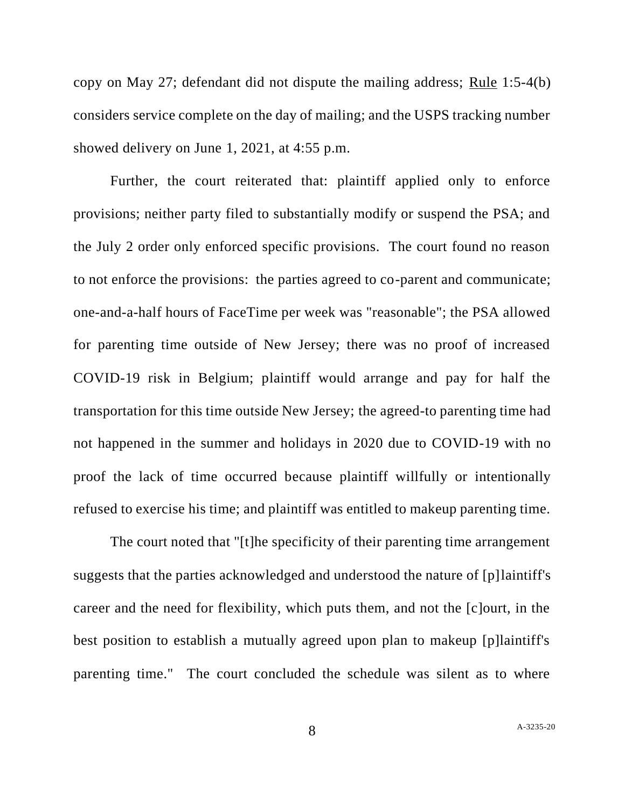copy on May 27; defendant did not dispute the mailing address; Rule 1:5-4(b) considers service complete on the day of mailing; and the USPS tracking number showed delivery on June 1, 2021, at 4:55 p.m.

Further, the court reiterated that: plaintiff applied only to enforce provisions; neither party filed to substantially modify or suspend the PSA; and the July 2 order only enforced specific provisions. The court found no reason to not enforce the provisions: the parties agreed to co-parent and communicate; one-and-a-half hours of FaceTime per week was "reasonable"; the PSA allowed for parenting time outside of New Jersey; there was no proof of increased COVID-19 risk in Belgium; plaintiff would arrange and pay for half the transportation for this time outside New Jersey; the agreed-to parenting time had not happened in the summer and holidays in 2020 due to COVID-19 with no proof the lack of time occurred because plaintiff willfully or intentionally refused to exercise his time; and plaintiff was entitled to makeup parenting time.

The court noted that "[t]he specificity of their parenting time arrangement suggests that the parties acknowledged and understood the nature of [p]laintiff's career and the need for flexibility, which puts them, and not the [c]ourt, in the best position to establish a mutually agreed upon plan to makeup [p]laintiff's parenting time." The court concluded the schedule was silent as to where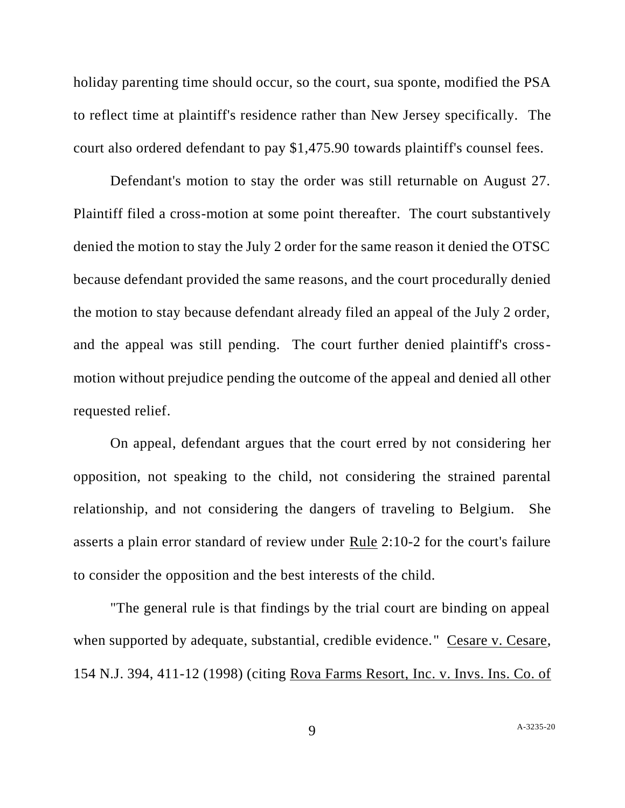holiday parenting time should occur, so the court, sua sponte, modified the PSA to reflect time at plaintiff's residence rather than New Jersey specifically. The court also ordered defendant to pay \$1,475.90 towards plaintiff's counsel fees.

Defendant's motion to stay the order was still returnable on August 27. Plaintiff filed a cross-motion at some point thereafter. The court substantively denied the motion to stay the July 2 order for the same reason it denied the OTSC because defendant provided the same reasons, and the court procedurally denied the motion to stay because defendant already filed an appeal of the July 2 order, and the appeal was still pending. The court further denied plaintiff's crossmotion without prejudice pending the outcome of the appeal and denied all other requested relief.

On appeal, defendant argues that the court erred by not considering her opposition, not speaking to the child, not considering the strained parental relationship, and not considering the dangers of traveling to Belgium. She asserts a plain error standard of review under Rule 2:10-2 for the court's failure to consider the opposition and the best interests of the child.

"The general rule is that findings by the trial court are binding on appeal when supported by adequate, substantial, credible evidence." Cesare v. Cesare, 154 N.J. 394, 411-12 (1998) (citing Rova Farms Resort, Inc. v. Invs. Ins. Co. of

9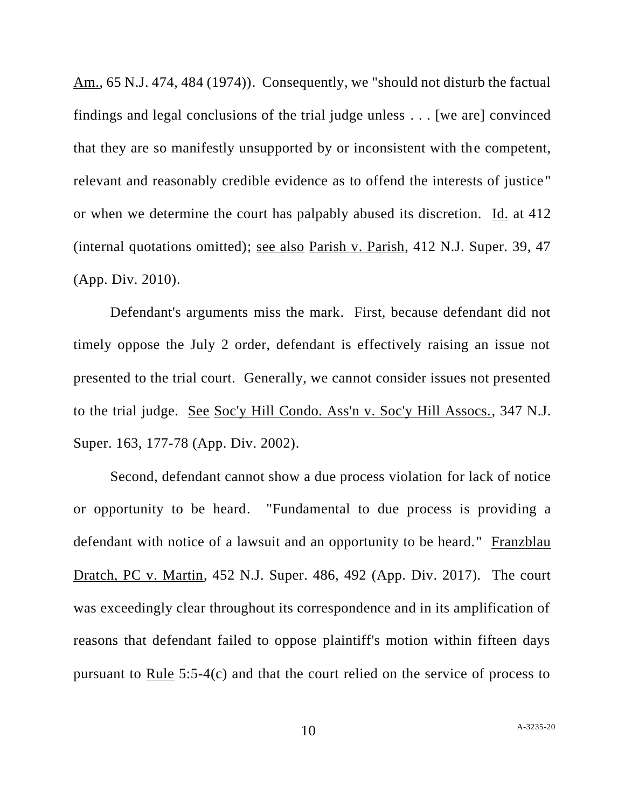Am., 65 N.J. 474, 484 (1974)). Consequently, we "should not disturb the factual findings and legal conclusions of the trial judge unless . . . [we are] convinced that they are so manifestly unsupported by or inconsistent with the competent, relevant and reasonably credible evidence as to offend the interests of justice" or when we determine the court has palpably abused its discretion. Id. at 412 (internal quotations omitted); see also Parish v. Parish, 412 N.J. Super. 39, 47 (App. Div. 2010).

Defendant's arguments miss the mark. First, because defendant did not timely oppose the July 2 order, defendant is effectively raising an issue not presented to the trial court. Generally, we cannot consider issues not presented to the trial judge. See Soc'y Hill Condo. Ass'n v. Soc'y Hill Assocs., 347 N.J. Super. 163, 177-78 (App. Div. 2002).

Second, defendant cannot show a due process violation for lack of notice or opportunity to be heard. "Fundamental to due process is providing a defendant with notice of a lawsuit and an opportunity to be heard." Franzblau Dratch, PC v. Martin, 452 N.J. Super. 486, 492 (App. Div. 2017). The court was exceedingly clear throughout its correspondence and in its amplification of reasons that defendant failed to oppose plaintiff's motion within fifteen days pursuant to Rule 5:5-4(c) and that the court relied on the service of process to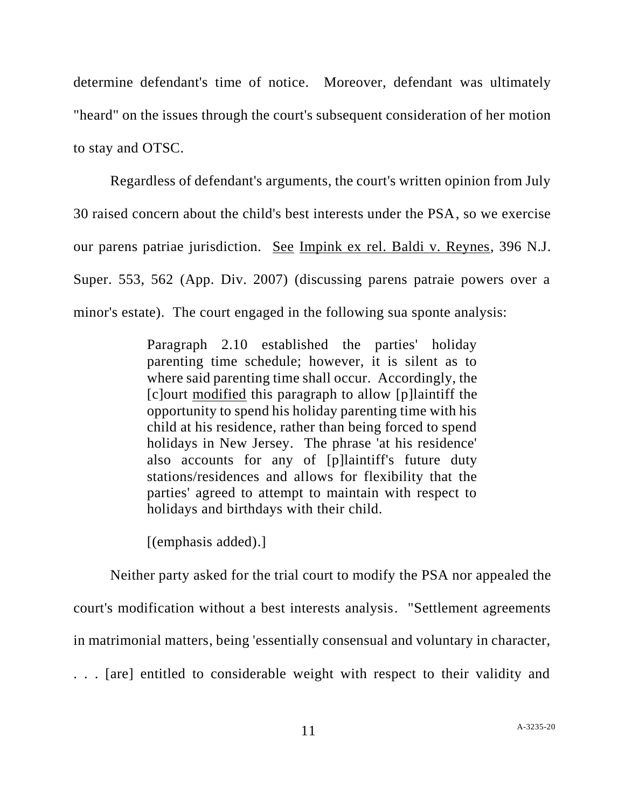determine defendant's time of notice. Moreover, defendant was ultimately "heard" on the issues through the court's subsequent consideration of her motion to stay and OTSC.

 Regardless of defendant's arguments, the court's written opinion from July 30 raised concern about the child's best interests under the PSA, so we exercise our parens patriae jurisdiction. See Impink ex rel. Baldi v. Reynes, 396 N.J. Super. 553, 562 (App. Div. 2007) (discussing parens patraie powers over a minor's estate). The court engaged in the following sua sponte analysis:

> Paragraph 2.10 established the parties' holiday parenting time schedule; however, it is silent as to where said parenting time shall occur. Accordingly, the [c]ourt modified this paragraph to allow [p]laintiff the opportunity to spend his holiday parenting time with his child at his residence, rather than being forced to spend holidays in New Jersey. The phrase 'at his residence' also accounts for any of [p]laintiff's future duty stations/residences and allows for flexibility that the parties' agreed to attempt to maintain with respect to holidays and birthdays with their child.

[(emphasis added).]

 Neither party asked for the trial court to modify the PSA nor appealed the court's modification without a best interests analysis. "Settlement agreements in matrimonial matters, being 'essentially consensual and voluntary in character, . . . [are] entitled to considerable weight with respect to their validity and